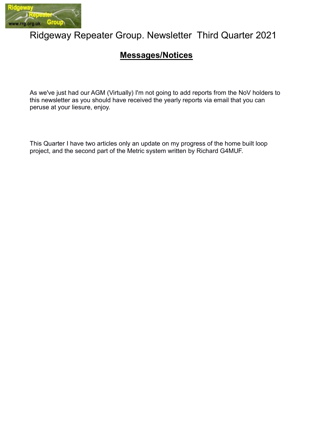

# Ridgeway Repeater Group. Newsletter Third Quarter 2021

# Messages/Notices

As we've just had our AGM (Virtually) I'm not going to add reports from the NoV holders to this newsletter as you should have received the yearly reports via email that you can peruse at your liesure, enjoy.

This Quarter I have two articles only an update on my progress of the home built loop project, and the second part of the Metric system written by Richard G4MUF.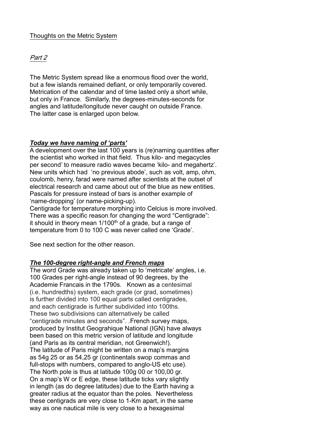# Thoughts on the Metric System

# Part 2

The Metric System spread like a enormous flood over the world, but a few islands remained defiant, or only temporarily covered. Metrication of the calendar and of time lasted only a short while, but only in France. Similarly, the degrees-minutes-seconds for angles and latitude/longitude never caught on outside France. The latter case is enlarged upon below.

# Today we have naming of 'parts'

A development over the last 100 years is (re)naming quantities after the scientist who worked in that field. Thus kilo- and megacycles per second' to measure radio waves became 'kilo- and megahertz'. New units which had 'no previous abode', such as volt, amp, ohm, coulomb, henry, farad were named after scientists at the outset of electrical research and came about out of the blue as new entities. Pascals for pressure instead of bars is another example of 'name-dropping' (or name-picking-up).

Centigrade for temperature morphing into Celcius is more involved. There was a specific reason for changing the word "Centigrade": it should in theory mean  $1/100<sup>th</sup>$  of a grade, but a range of temperature from 0 to 100 C was never called one 'Grade'.

See next section for the other reason.

#### The 100-degree right-angle and French maps

The word Grade was already taken up to 'metricate' angles, i.e. 100 Grades per right-angle instead of 90 degrees, by the Academie Francais in the 1790s. Known as a centesimal (i.e. hundredths) system, each grade (or grad, sometimes) is further divided into 100 equal parts called centigrades, and each centigrade is further subdivided into 100ths. These two subdivisions can alternatively be called "centigrade minutes and seconds". .French survey maps, produced by Institut Geograhique National (IGN) have always been based on this metric version of latitude and longitude (and Paris as its central meridian, not Greenwich!). The latitude of Paris might be written on a map's margins as 54g 25 or as 54,25 gr (continentals swop commas and full-stops with numbers, compared to anglo-US etc use). The North pole is thus at latitude 100g 00 or 100,00 gr. On a map's W or E edge, these latitude ticks vary slightly in length (as do degree latitudes) due to the Earth having a greater radius at the equator than the poles. Nevertheless these centigrads are very close to 1-Km apart, in the same way as one nautical mile is very close to a hexagesimal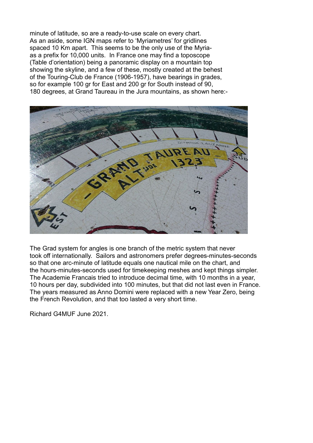minute of latitude, so are a ready-to-use scale on every chart. As an aside, some IGN maps refer to 'Myriametres' for gridlines spaced 10 Km apart. This seems to be the only use of the Myriaas a prefix for 10,000 units. In France one may find a toposcope (Table d'orientation) being a panoramic display on a mountain top showing the skyline, and a few of these, mostly created at the behest of the Touring-Club de France (1906-1957), have bearings in grades, so for example 100 gr for East and 200 gr for South instead of 90, 180 degrees, at Grand Taureau in the Jura mountains, as shown here:-



The Grad system for angles is one branch of the metric system that never took off internationally. Sailors and astronomers prefer degrees-minutes-seconds so that one arc-minute of latitude equals one nautical mile on the chart, and the hours-minutes-seconds used for timekeeping meshes and kept things simpler. The Academie Francais tried to introduce decimal time, with 10 months in a year, 10 hours per day, subdivided into 100 minutes, but that did not last even in France. The years measured as Anno Domini were replaced with a new Year Zero, being the French Revolution, and that too lasted a very short time.

Richard G4MUF June 2021.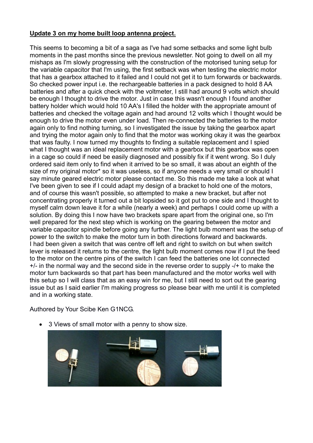# Update 3 on my home built loop antenna project.

This seems to becoming a bit of a saga as I've had some setbacks and some light bulb moments in the past months since the previous newsletter. Not going to dwell on all my mishaps as I'm slowly progressing with the construction of the motorised tuning setup for the variable capacitor that I'm using, the first setback was when testing the electric motor that has a gearbox attached to it failed and I could not get it to turn forwards or backwards. So checked power input i.e. the rechargeable batteries in a pack designed to hold 8 AA batteries and after a quick check with the voltmeter, I still had around 9 volts which should be enough I thought to drive the motor. Just in case this wasn't enough I found another battery holder which would hold 10 AA's I filled the holder with the appropriate amount of batteries and checked the voltage again and had around 12 volts which I thought would be enough to drive the motor even under load. Then re-connected the batteries to the motor again only to find nothing turning, so I investigated the issue by taking the gearbox apart and trying the motor again only to find that the motor was working okay it was the gearbox that was faulty. I now turned my thoughts to finding a suitable replacement and I spied what I thought was an ideal replacement motor with a gearbox but this gearbox was open in a cage so could if need be easily diagnosed and possibly fix if it went wrong. So I duly ordered said item only to find when it arrived to be so small, it was about an eighth of the size of my original motor\* so it was useless, so if anyone needs a very small or should I say minute geared electric motor please contact me. So this made me take a look at what I've been given to see if I could adapt my design of a bracket to hold one of the motors, and of course this wasn't possible, so attempted to make a new bracket, but after not concentrating properly it turned out a bit lopsided so it got put to one side and I thought to myself calm down leave it for a while (nearly a week) and perhaps I could come up with a solution. By doing this I now have two brackets spare apart from the original one, so I'm well prepared for the next step which is working on the gearing between the motor and variable capacitor spindle before going any further. The light bulb moment was the setup of power to the switch to make the motor turn in both directions forward and backwards. I had been given a switch that was centre off left and right to switch on but when switch lever is released it returns to the centre, the light bulb moment comes now if I put the feed to the motor on the centre pins of the switch I can feed the batteries one lot connected +/- in the normal way and the second side in the reverse order to supply -/+ to make the motor turn backwards so that part has been manufactured and the motor works well with this setup so I will class that as an easy win for me, but I still need to sort out the gearing issue but as I said earlier I'm making progress so please bear with me until it is completed and in a working state.

Authored by Your Scibe Ken G1NCG.

3 Views of small motor with a penny to show size.